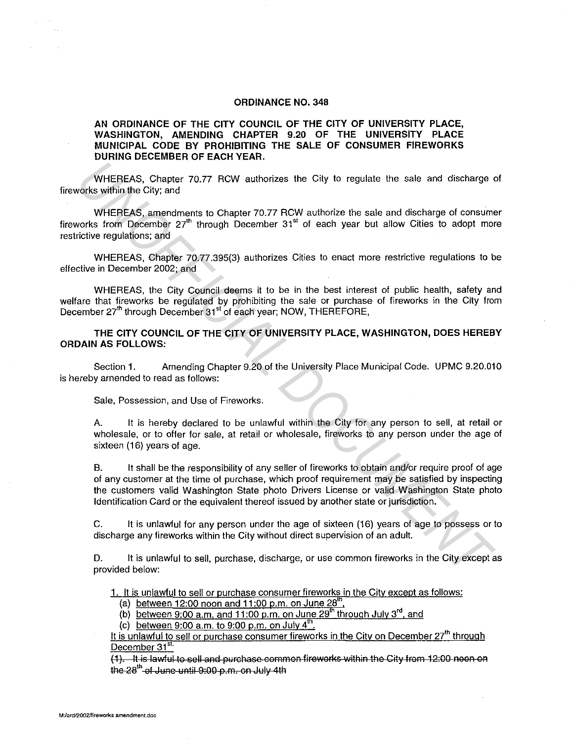## **ORDINANCE NO. 348**

## **AN ORDINANCE OF THE CITY COUNCIL OF THE CITY OF UNIVERSITY PLACE, WASHINGTON, AMENDING CHAPTER 9.20 OF THE UNIVERSITY PLACE MUNICIPAL CODE BY PROHIBITING THE SALE OF CONSUMER FIREWORKS DURING DECEMBER OF EACH YEAR.**

WHEREAS, Chapter 70.77 RCW authorizes the City to regulate the sale and discharge of fireworks within the City; and

WHEREAS, amendments to Chapter 70.77 RCW authorize the sale and discharge of consumer fireworks from December  $27<sup>th</sup>$  through December  $31<sup>st</sup>$  of each year but allow Cities to adopt more restrictive regulations; and

WHEREAS, Chapter 70.77.395(3) authorizes Cities to enact more restrictive regulations to be effective in December 2002; and

WHEREAS, the City Council deems it to be in the best interest of public health, safety and welfare that fireworks be regulated by prohibiting the sale or purchase of fireworks in the City from December 27<sup>th</sup> through December 31<sup>st</sup> of each year; NOW, THEREFORE,

**THE CITY COUNCIL OF THE CITY OF UNIVERSITY PLACE, WASHINGTON, DOES HEREBY ORDAIN AS FOLLOWS:** 

Section 1. Amending Chapter 9.20 of the University Place Municipal Code. UPMC 9.20.010 is hereby amended to read as follows:

Sale, Possession, and Use of Fireworks.

A. It is hereby declared to be unlawful within the City for any person to sell, at retail or wholesale, or to offer for sale, at retail or wholesale, fireworks to any person under the age of sixteen (16) years of age.

B. It shall be the responsibility of any seller of fireworks to obtain and/or require proof of age of any customer at the time of purchase, which proof requirement may be satisfied by inspecting the customers valid Washington State photo Drivers License or valid Washington State photo Identification Card or the equivalent thereof issued by another state or jurisdiction. WHEREAS, Chapter 70.77 RCW authorizes the City to regulate the sale and discharge evoks within the City; and<br>
WHEREAS, amendments to Chapter 70.77 RCW authorizes the City to regulate the sale and discharge of consume<br>
unch

C. It is unlawful for any person under the age of sixteen (16) years of age to possess or to discharge any fireworks within the City without direct supervision of an adult.

D. It is unlawful to sell, purchase, discharge, or use common fireworks in the City except as provided below:

1. It is unlawful to sell or purchase consumer fireworks in the City except as follows:

(a) between 12:00 noon and 11:00 p.m. on June 28<sup>th</sup>.

(b) between 9:00 a.m. and 11:00 p.m. on June  $29<sup>th</sup>$  through July 3<sup>rd</sup>, and

(c) between 9:00 a.m. to 9:00 p.m. on July  $4^{\text{th}}$ .

It is unlawful to sell or purchase consumer fireworks in the City on December 27<sup>th</sup> through December 31<sup>st.</sup>

(1). It is lawful to sell and purchase common fireworks within the City from 12:00 noon on the 28<sup>th</sup> of June until 9:00 p.m. on July 4th